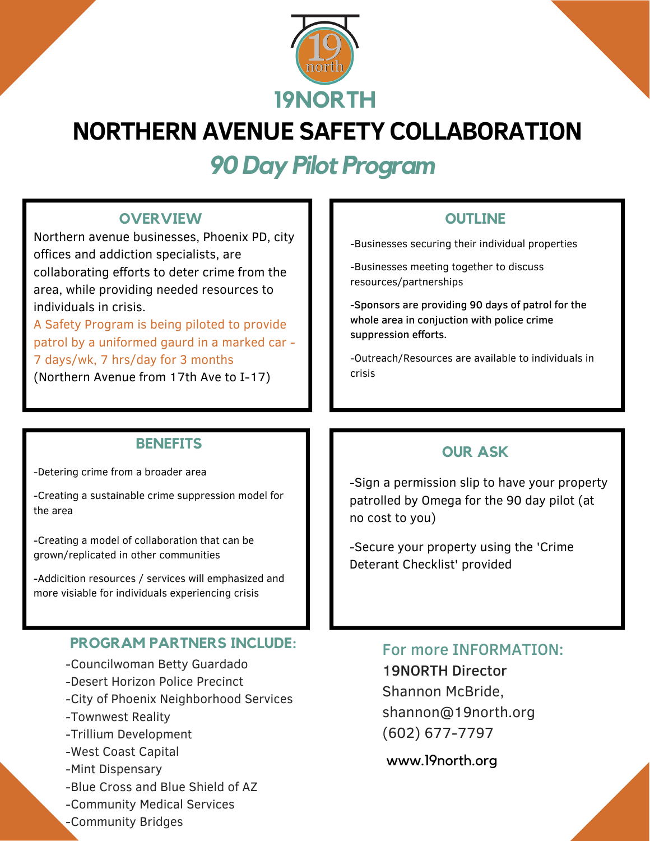

# **NORTHERN AVENUE SAFETY COLLABORATION**

*90 Day Pilot Program*

#### **OVERVIEW OUTLINE**

Northern avenue businesses, Phoenix PD, city offices and addiction specialists, are collaborating efforts to deter crime from the area, while providing needed resources to individuals in crisis.

A Safety Program is being piloted to provide patrol by a uniformed gaurd in a marked car - 7 days/wk, 7 hrs/day for 3 months

(Northern Avenue from 17th Ave to I-17)

-Businesses securing their individual properties

-Businesses meeting together to discuss resources/partnerships

-Sponsors are providing 90 days of patrol for the whole area in conjuction with police crime suppression efforts.

-Outreach/Resources are available to individuals in crisis

-Detering crime from a broader area

-Creating a sustainable crime suppression model for the area

-Creating a model of collaboration that can be grown/replicated in other communities

-Addicition resources / services will emphasized and more visiable for individuals experiencing crisis

### **PROGRAM PARTNERS INCLUDE:**

- -Councilwoman Betty Guardado
- -Desert Horizon Police Precinct
- -City of Phoenix Neighborhood Services
- -Townwest Reality
- -Trillium Development
- -West Coast Capital
- -Mint Dispensary
- -Blue Cross and Blue Shield of AZ
- -Community Medical Services
- -Community Bridges

## **BENEFITS OUR ASK**

-Sign a permission slip to have your property patrolled by Omega for the 90 day pilot (at no cost to you)

-Secure your property using the 'Crime Deterant Checklist' provided

#### For more INFORMATION:

19NORTH Director Shannon McBride, shannon@19north.org (602) 677-7797

www.19north.org